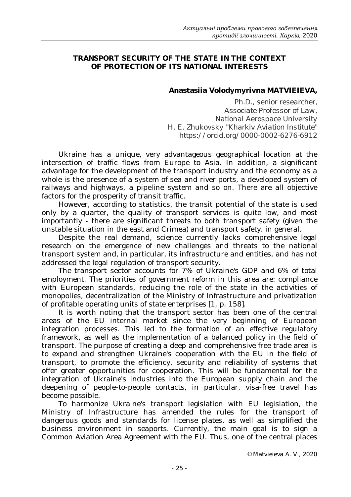## **TRANSPORT SECURITY OF THE STATE IN THE CONTEXT OF PROTECTION OF ITS NATIONAL INTERESTS**

## **Anastasiia Volodymyrivna MATVIEIEVA,**

*Ph.D., senior researcher, Associate Professor of Law, National Aerospace University H. E. Zhukovsky "Kharkiv Aviation Institute" https://orcid.org/0000-0002-6276-6912*

Ukraine has a unique, very advantageous geographical location at the intersection of traffic flows from Europe to Asia. In addition, a significant advantage for the development of the transport industry and the economy as a whole is the presence of a system of sea and river ports, a developed system of railways and highways, a pipeline system and so on. There are all objective factors for the prosperity of transit traffic.

However, according to statistics, the transit potential of the state is used only by a quarter, the quality of transport services is quite low, and most importantly - there are significant threats to both transport safety (given the unstable situation in the east and Crimea) and transport safety. in general.

Despite the real demand, science currently lacks comprehensive legal research on the emergence of new challenges and threats to the national transport system and, in particular, its infrastructure and entities, and has not addressed the legal regulation of transport security.

The transport sector accounts for 7% of Ukraine's GDP and 6% of total employment. The priorities of government reform in this area are: compliance with European standards, reducing the role of the state in the activities of monopolies, decentralization of the Ministry of Infrastructure and privatization of profitable operating units of state enterprises [1, p. 158].

It is worth noting that the transport sector has been one of the central areas of the EU internal market since the very beginning of European integration processes. This led to the formation of an effective regulatory framework, as well as the implementation of a balanced policy in the field of transport. The purpose of creating a deep and comprehensive free trade area is to expand and strengthen Ukraine's cooperation with the EU in the field of transport, to promote the efficiency, security and reliability of systems that offer greater opportunities for cooperation. This will be fundamental for the integration of Ukraine's industries into the European supply chain and the deepening of people-to-people contacts, in particular, visa-free travel has become possible.

To harmonize Ukraine's transport legislation with EU legislation, the Ministry of Infrastructure has amended the rules for the transport of dangerous goods and standards for license plates, as well as simplified the business environment in seaports. Currently, the main goal is to sign a Common Aviation Area Agreement with the EU. Thus, one of the central places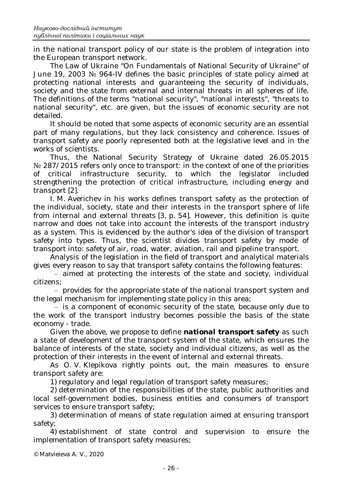in the national transport policy of our state is the problem of integration into the European transport network.

The Law of Ukraine "On Fundamentals of National Security of Ukraine" of June 19, 2003 № 964-IV defines the basic principles of state policy aimed at protecting national interests and guaranteeing the security of individuals, society and the state from external and internal threats in all spheres of life. The definitions of the terms "national security", "national interests", "threats to national security", etc. are given, but the issues of economic security are not detailed.

It should be noted that some aspects of economic security are an essential part of many regulations, but they lack consistency and coherence. Issues of transport safety are poorly represented both at the legislative level and in the works of scientists.

Thus, the National Security Strategy of Ukraine dated 26.05.2015 No 287/2015 refers only once to transport: in the context of one of the priorities of critical infrastructure security, to which the legislator included strengthening the protection of critical infrastructure, including energy and transport [2].

I. M. Averichev in his works defines transport safety as the protection of the individual, society, state and their interests in the transport sphere of life from internal and external threats [3, p. 54]. However, this definition is quite narrow and does not take into account the interests of the transport industry as a system. This is evidenced by the author's idea of the division of transport safety into types. Thus, the scientist divides transport safety by mode of transport into: safety of air, road, water, aviation, rail and pipeline transport.

Analysis of the legislation in the field of transport and analytical materials gives every reason to say that transport safety contains the following features:

‒ aimed at protecting the interests of the state and society, individual citizens;

‒ provides for the appropriate state of the national transport system and the legal mechanism for implementing state policy in this area;

- is a component of economic security of the state, because only due to the work of the transport industry becomes possible the basis of the state economy - trade.

Given the above, we propose to define *national transport safety* as such a state of development of the transport system of the state, which ensures the balance of interests of the state, society and individual citizens, as well as the protection of their interests in the event of internal and external threats.

As O. V. Klepikova rightly points out, the main measures to ensure transport safety are:

1) regulatory and legal regulation of transport safety measures;

2) determination of the responsibilities of the state, public authorities and local self-government bodies, business entities and consumers of transport services to ensure transport safety;

3) determination of means of state regulation aimed at ensuring transport safety;

4) establishment of state control and supervision to ensure the implementation of transport safety measures;

© Matvieieva A. V., 2020